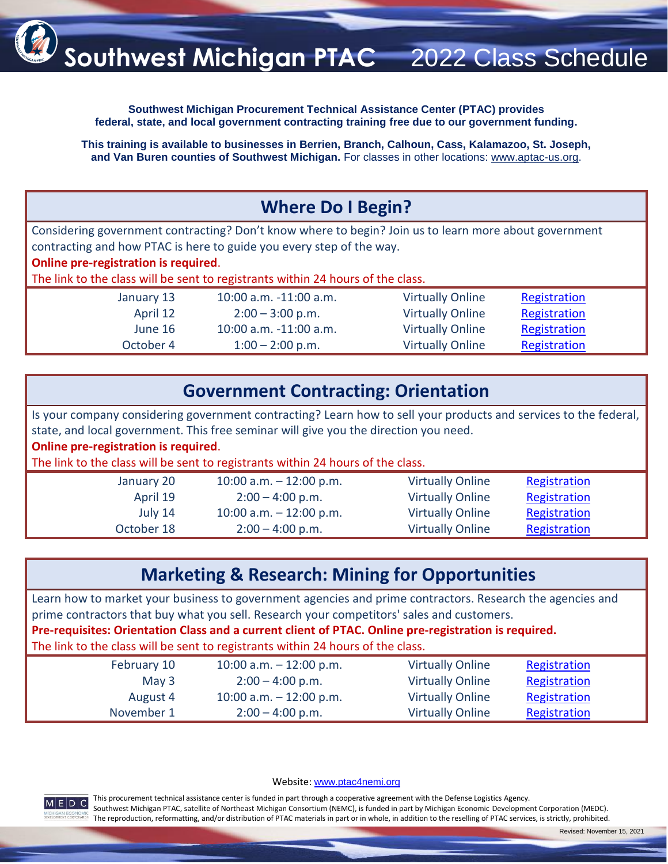

**Southwest Michigan Procurement Technical Assistance Center (PTAC) provides federal, state, and local government contracting training free due to our government funding.**

**This training is available to businesses in Berrien, Branch, Calhoun, Cass, Kalamazoo, St. Joseph, and Van Buren counties of Southwest Michigan.** For classes in other locations: [www.aptac-us.org.](https://www.aptac-us.org/)

## **Where Do I Begin?**

Considering government contracting? Don't know where to begin? Join us to learn more about government contracting and how PTAC is here to guide you every step of the way.

**Online pre-registration is required**.

The link to the class will be sent to registrants within 24 hours of the class.

January 13 10:00 a.m. -11:00 a.m. Virtually Online [Registration](https://center-gateway.com/2/gateway/105002/events/event_detail;event_id=63074) April 12 2:00 – 3:00 p.m. Virtually Online [Registration](https://center-gateway.com/2/gateway/105002/events/event_detail;event_id=63078) June 16 10:00 a.m. -11:00 a.m. Virtually Online [Registration](https://center-gateway.com/2/gateway/105002/events/event_detail;event_id=63085) October 4 1:00 – 2:00 p.m. Virtually Online [Registration](https://center-gateway.com/2/gateway/105002/events/63089)

| <b>Government Contracting: Orientation</b> |  |  |
|--------------------------------------------|--|--|
|--------------------------------------------|--|--|

Is your company considering government contracting? Learn how to sell your products and services to the federal, state, and local government. This free seminar will give you the direction you need.

**Online pre-registration is required**.

The link to the class will be sent to registrants within 24 hours of the class.

| January 20 | 10:00 a.m. $-$ 12:00 p.m. | <b>Virtually Online</b> | Registration |  |
|------------|---------------------------|-------------------------|--------------|--|
| April 19   | $2:00 - 4:00$ p.m.        | <b>Virtually Online</b> | Registration |  |
| July 14    | 10:00 a.m. $-$ 12:00 p.m. | <b>Virtually Online</b> | Registration |  |
| October 18 | $2:00 - 4:00$ p.m.        | <b>Virtually Online</b> | Registration |  |
|            |                           |                         |              |  |

## **Marketing & Research: Mining for Opportunities**

Learn how to market your business to government agencies and prime contractors. Research the agencies and prime contractors that buy what you sell. Research your competitors' sales and customers.

**Pre-requisites: Orientation Class and a current client of PTAC. Online pre-registration is required.**

The link to the class will be sent to registrants within 24 hours of the class.

| February 10 | 10:00 a.m. $-$ 12:00 p.m. | <b>Virtually Online</b> | Registration |  |
|-------------|---------------------------|-------------------------|--------------|--|
| May $3$     | $2:00 - 4:00$ p.m.        | <b>Virtually Online</b> | Registration |  |
| August 4    | 10:00 a.m. $-$ 12:00 p.m. | <b>Virtually Online</b> | Registration |  |
| November 1  | $2:00 - 4:00$ p.m.        | <b>Virtually Online</b> | Registration |  |

Website: [www.ptac4nemi.org](http://www.ptac4nemi.org/)



This procurement technical assistance center is funded in part through a cooperative agreement with the Defense Logistics Agency. Southwest Michigan PTAC, satellite of Northeast Michigan Consortium (NEMC), is funded in part by Michigan Economic Development Corporation (MEDC). The reproduction, reformatting, and/or distribution of PTAC materials in part or in whole, in addition to the reselling of PTAC services, is strictly, prohibited.